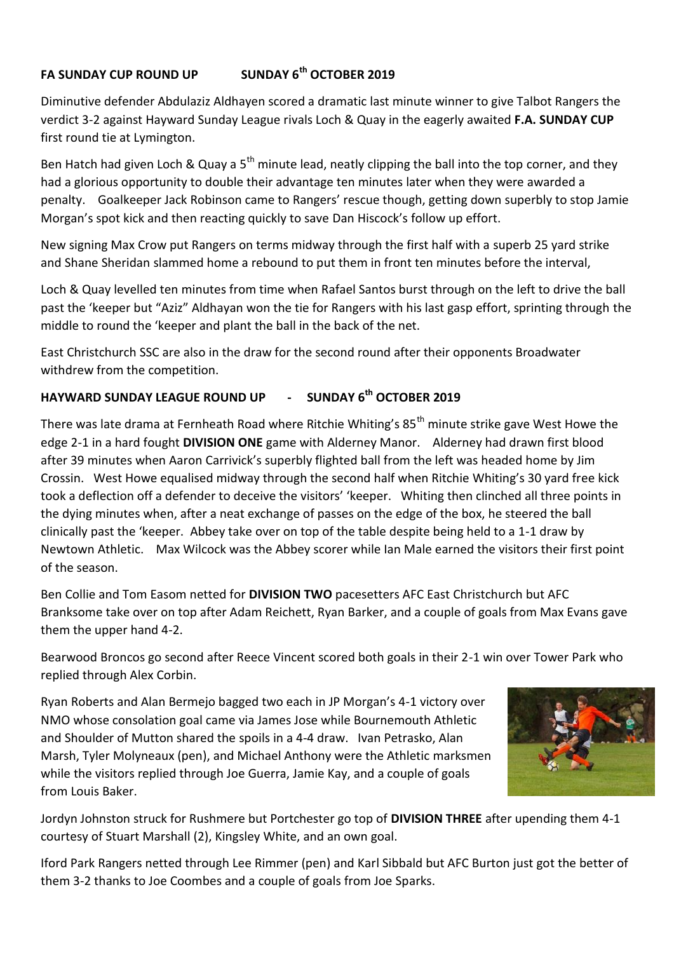## **FA SUNDAY CUP ROUND UP SUNDAY 6th OCTOBER 2019**

Diminutive defender Abdulaziz Aldhayen scored a dramatic last minute winner to give Talbot Rangers the verdict 3-2 against Hayward Sunday League rivals Loch & Quay in the eagerly awaited **F.A. SUNDAY CUP** first round tie at Lymington.

Ben Hatch had given Loch & Quay a  $5<sup>th</sup>$  minute lead, neatly clipping the ball into the top corner, and they had a glorious opportunity to double their advantage ten minutes later when they were awarded a penalty. Goalkeeper Jack Robinson came to Rangers' rescue though, getting down superbly to stop Jamie Morgan's spot kick and then reacting quickly to save Dan Hiscock's follow up effort.

New signing Max Crow put Rangers on terms midway through the first half with a superb 25 yard strike and Shane Sheridan slammed home a rebound to put them in front ten minutes before the interval,

Loch & Quay levelled ten minutes from time when Rafael Santos burst through on the left to drive the ball past the 'keeper but "Aziz" Aldhayan won the tie for Rangers with his last gasp effort, sprinting through the middle to round the 'keeper and plant the ball in the back of the net.

East Christchurch SSC are also in the draw for the second round after their opponents Broadwater withdrew from the competition.

## **HAYWARD SUNDAY LEAGUE ROUND UP - SUNDAY 6th OCTOBER 2019**

There was late drama at Fernheath Road where Ritchie Whiting's 85<sup>th</sup> minute strike gave West Howe the edge 2-1 in a hard fought **DIVISION ONE** game with Alderney Manor. Alderney had drawn first blood after 39 minutes when Aaron Carrivick's superbly flighted ball from the left was headed home by Jim Crossin. West Howe equalised midway through the second half when Ritchie Whiting's 30 yard free kick took a deflection off a defender to deceive the visitors' 'keeper. Whiting then clinched all three points in the dying minutes when, after a neat exchange of passes on the edge of the box, he steered the ball clinically past the 'keeper. Abbey take over on top of the table despite being held to a 1-1 draw by Newtown Athletic. Max Wilcock was the Abbey scorer while Ian Male earned the visitors their first point of the season.

Ben Collie and Tom Easom netted for **DIVISION TWO** pacesetters AFC East Christchurch but AFC Branksome take over on top after Adam Reichett, Ryan Barker, and a couple of goals from Max Evans gave them the upper hand 4-2.

Bearwood Broncos go second after Reece Vincent scored both goals in their 2-1 win over Tower Park who replied through Alex Corbin.

Ryan Roberts and Alan Bermejo bagged two each in JP Morgan's 4-1 victory over NMO whose consolation goal came via James Jose while Bournemouth Athletic and Shoulder of Mutton shared the spoils in a 4-4 draw. Ivan Petrasko, Alan Marsh, Tyler Molyneaux (pen), and Michael Anthony were the Athletic marksmen while the visitors replied through Joe Guerra, Jamie Kay, and a couple of goals from Louis Baker.



Jordyn Johnston struck for Rushmere but Portchester go top of **DIVISION THREE** after upending them 4-1 courtesy of Stuart Marshall (2), Kingsley White, and an own goal.

Iford Park Rangers netted through Lee Rimmer (pen) and Karl Sibbald but AFC Burton just got the better of them 3-2 thanks to Joe Coombes and a couple of goals from Joe Sparks.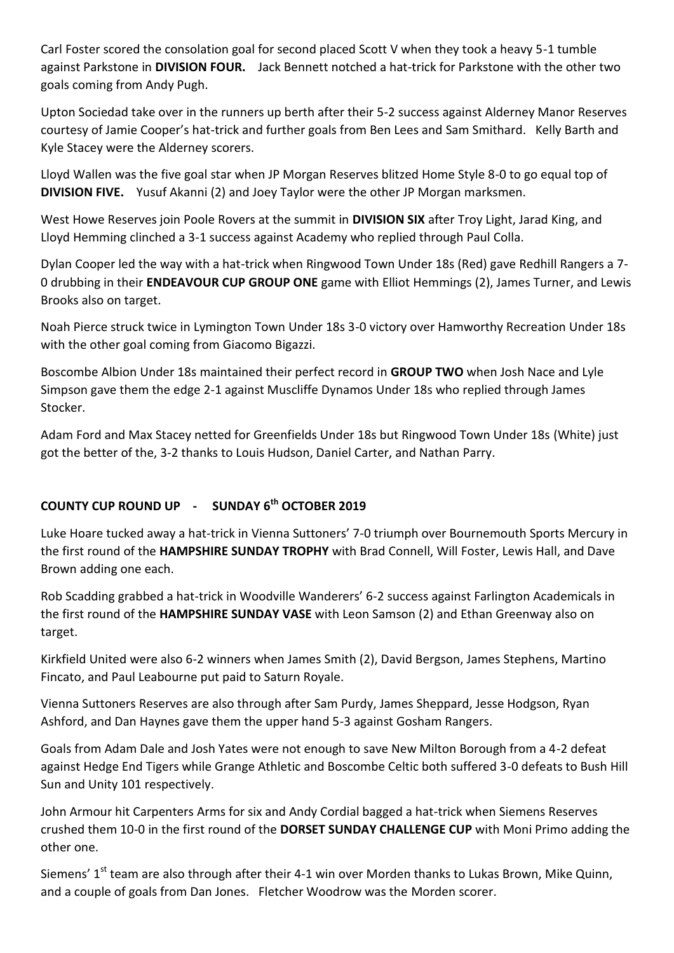Carl Foster scored the consolation goal for second placed Scott V when they took a heavy 5-1 tumble against Parkstone in **DIVISION FOUR.** Jack Bennett notched a hat-trick for Parkstone with the other two goals coming from Andy Pugh.

Upton Sociedad take over in the runners up berth after their 5-2 success against Alderney Manor Reserves courtesy of Jamie Cooper's hat-trick and further goals from Ben Lees and Sam Smithard. Kelly Barth and Kyle Stacey were the Alderney scorers.

Lloyd Wallen was the five goal star when JP Morgan Reserves blitzed Home Style 8-0 to go equal top of **DIVISION FIVE.** Yusuf Akanni (2) and Joey Taylor were the other JP Morgan marksmen.

West Howe Reserves join Poole Rovers at the summit in **DIVISION SIX** after Troy Light, Jarad King, and Lloyd Hemming clinched a 3-1 success against Academy who replied through Paul Colla.

Dylan Cooper led the way with a hat-trick when Ringwood Town Under 18s (Red) gave Redhill Rangers a 7- 0 drubbing in their **ENDEAVOUR CUP GROUP ONE** game with Elliot Hemmings (2), James Turner, and Lewis Brooks also on target.

Noah Pierce struck twice in Lymington Town Under 18s 3-0 victory over Hamworthy Recreation Under 18s with the other goal coming from Giacomo Bigazzi.

Boscombe Albion Under 18s maintained their perfect record in **GROUP TWO** when Josh Nace and Lyle Simpson gave them the edge 2-1 against Muscliffe Dynamos Under 18s who replied through James Stocker.

Adam Ford and Max Stacey netted for Greenfields Under 18s but Ringwood Town Under 18s (White) just got the better of the, 3-2 thanks to Louis Hudson, Daniel Carter, and Nathan Parry.

## **COUNTY CUP ROUND UP - SUNDAY 6th OCTOBER 2019**

Luke Hoare tucked away a hat-trick in Vienna Suttoners' 7-0 triumph over Bournemouth Sports Mercury in the first round of the **HAMPSHIRE SUNDAY TROPHY** with Brad Connell, Will Foster, Lewis Hall, and Dave Brown adding one each.

Rob Scadding grabbed a hat-trick in Woodville Wanderers' 6-2 success against Farlington Academicals in the first round of the **HAMPSHIRE SUNDAY VASE** with Leon Samson (2) and Ethan Greenway also on target.

Kirkfield United were also 6-2 winners when James Smith (2), David Bergson, James Stephens, Martino Fincato, and Paul Leabourne put paid to Saturn Royale.

Vienna Suttoners Reserves are also through after Sam Purdy, James Sheppard, Jesse Hodgson, Ryan Ashford, and Dan Haynes gave them the upper hand 5-3 against Gosham Rangers.

Goals from Adam Dale and Josh Yates were not enough to save New Milton Borough from a 4-2 defeat against Hedge End Tigers while Grange Athletic and Boscombe Celtic both suffered 3-0 defeats to Bush Hill Sun and Unity 101 respectively.

John Armour hit Carpenters Arms for six and Andy Cordial bagged a hat-trick when Siemens Reserves crushed them 10-0 in the first round of the **DORSET SUNDAY CHALLENGE CUP** with Moni Primo adding the other one.

Siemens' 1<sup>st</sup> team are also through after their 4-1 win over Morden thanks to Lukas Brown, Mike Quinn, and a couple of goals from Dan Jones. Fletcher Woodrow was the Morden scorer.